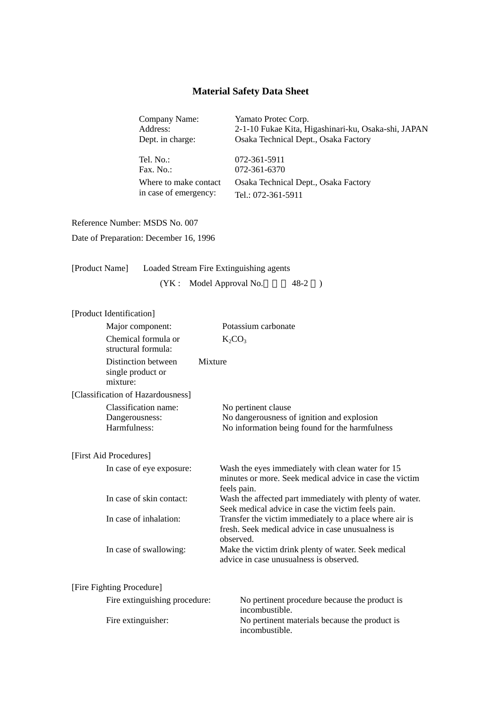## **Material Safety Data Sheet**

Company Name: Yamato Protec Corp.

Address: 2-1-10 Fukae Kita, Higashinari-ku, Osaka-shi, JAPAN Dept. in charge: Osaka Technical Dept., Osaka Factory

Tel. No.: 072-361-5911 Fax. No.: 072-361-6370 Where to make contact in case of emergency:

Osaka Technical Dept., Osaka Factory Tel.: 072-361-5911

Reference Number: MSDS No. 007

Date of Preparation: December 16, 1996

| [Product Name] | Loaded Stream Fire Extinguishing agents |          |  |
|----------------|-----------------------------------------|----------|--|
|                | (YK : Model Approval No.                | $48-2$ ) |  |

| [Product Identification] |                                                        |                                                                                                                             |
|--------------------------|--------------------------------------------------------|-----------------------------------------------------------------------------------------------------------------------------|
|                          | Major component:                                       | Potassium carbonate                                                                                                         |
|                          | Chemical formula or<br>structural formula:             | $K_2CO_3$                                                                                                                   |
|                          | Distinction between<br>single product or<br>mixture:   | Mixture                                                                                                                     |
|                          | [Classification of Hazardousness]                      |                                                                                                                             |
|                          | Classification name:<br>Dangerousness:<br>Harmfulness: | No pertinent clause<br>No dangerousness of ignition and explosion<br>No information being found for the harmfulness         |
| [First Aid Procedures]   |                                                        |                                                                                                                             |
|                          | In case of eye exposure:                               | Wash the eyes immediately with clean water for 15<br>minutes or more. Seek medical advice in case the victim<br>feels pain. |
|                          | In case of skin contact:                               | Wash the affected part immediately with plenty of water.<br>Seek medical advice in case the victim feels pain.              |
|                          | In case of inhalation:                                 | Transfer the victim immediately to a place where air is<br>fresh. Seek medical advice in case unusualness is<br>observed.   |
|                          | In case of swallowing:                                 | Make the victim drink plenty of water. Seek medical<br>advice in case unusualness is observed.                              |
|                          | [Fire Fighting Procedure]                              |                                                                                                                             |
|                          | Fire extinguishing procedure:                          | No pertinent procedure because the product is<br>incombustible.                                                             |
|                          | Fire extinguisher:                                     | No pertinent materials because the product is                                                                               |

incombustible.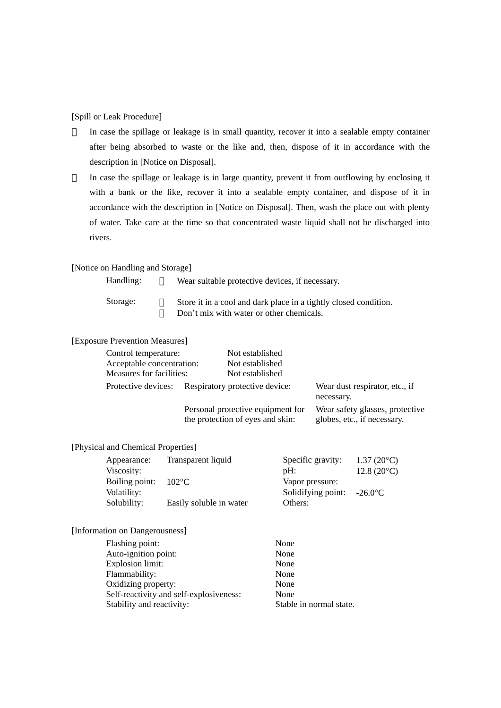[Spill or Leak Procedure]

In case the spillage or leakage is in small quantity, recover it into a sealable empty container after being absorbed to waste or the like and, then, dispose of it in accordance with the description in [Notice on Disposal].

In case the spillage or leakage is in large quantity, prevent it from outflowing by enclosing it with a bank or the like, recover it into a sealable empty container, and dispose of it in accordance with the description in [Notice on Disposal]. Then, wash the place out with plenty of water. Take care at the time so that concentrated waste liquid shall not be discharged into rivers.

### [Notice on Handling and Storage]

| Handling: | Wear suitable protective devices, if necessary.                  |
|-----------|------------------------------------------------------------------|
| Storage:  | Store it in a cool and dark place in a tightly closed condition. |
|           | Don't mix with water or other chemicals.                         |

### [Exposure Prevention Measures]

| Control temperature:      |                                                                       | Not established |                                                                |
|---------------------------|-----------------------------------------------------------------------|-----------------|----------------------------------------------------------------|
| Acceptable concentration: |                                                                       | Not established |                                                                |
| Measures for facilities:  |                                                                       | Not established |                                                                |
| Protective devices:       | Respiratory protective device:                                        |                 | Wear dust respirator, etc., if<br>necessary.                   |
|                           | Personal protective equipment for<br>the protection of eyes and skin: |                 | Wear safety glasses, protective<br>globes, etc., if necessary. |

## [Physical and Chemical Properties]

| Transparent liquid      | $1.37(20^{\circ}C)$                                                          |
|-------------------------|------------------------------------------------------------------------------|
|                         | $12.8(20^{\circ}C)$                                                          |
|                         |                                                                              |
|                         | $-26.0$ °C                                                                   |
| Easily soluble in water |                                                                              |
|                         | Specific gravity:<br>pH:<br>Vapor pressure:<br>Solidifying point:<br>Others: |

#### [Information on Dangerousness]

| Flashing point:                         | None                    |
|-----------------------------------------|-------------------------|
| Auto-ignition point:                    | None                    |
| <b>Explosion limit:</b>                 | None                    |
| Flammability:                           | None                    |
| Oxidizing property:                     | None                    |
| Self-reactivity and self-explosiveness: | None                    |
| Stability and reactivity:               | Stable in normal state. |